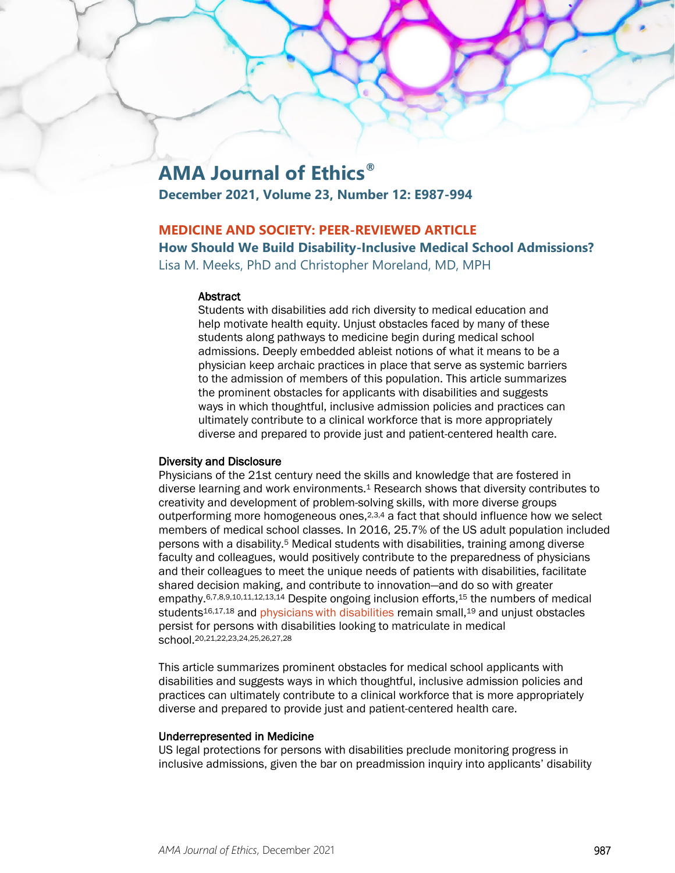# **AMA Journal of Ethics®**

**December 2021, Volume 23, Number 12: E987-994**

### **MEDICINE AND SOCIETY: PEER-REVIEWED ARTICLE**

**How Should We Build Disability-Inclusive Medical School Admissions?**

Lisa M. Meeks, PhD and Christopher Moreland, MD, MPH

#### **Abstract**

Students with disabilities add rich diversity to medical education and help motivate health equity. Unjust obstacles faced by many of these students along pathways to medicine begin during medical school admissions. Deeply embedded ableist notions of what it means to be a physician keep archaic practices in place that serve as systemic barriers to the admission of members of this population. This article summarizes the prominent obstacles for applicants with disabilities and suggests ways in which thoughtful, inclusive admission policies and practices can ultimately contribute to a clinical workforce that is more appropriately diverse and prepared to provide just and patient-centered health care.

#### Diversity and Disclosure

Physicians of the 21st century need the skills and knowledge that are fostered in diverse learning and work environments.1 Research shows that diversity contributes to creativity and development of problem-solving skills, with more diverse groups outperforming more homogeneous ones, $2,3,4$  a fact that should influence how we select members of medical school classes. In 2016, 25.7% of the US adult population included persons with a disability.5 Medical students with disabilities, training among diverse faculty and colleagues, would positively contribute to the preparedness of physicians and their colleagues to meet the unique needs of patients with disabilities, facilitate shared decision making, and contribute to innovation—and do so with greater empathy.6,7,8,9,10,11,12,13,14 Despite ongoing inclusion efforts,15 the numbers of medical students<sup>16,17,18</sup> and *physicians with disabilities remain small*,<sup>19</sup> and unjust obstacles persist for persons with disabilities looking to matriculate in medical school.20,21,22,23,24,25,26,27,28

This article summarizes prominent obstacles for medical school applicants with disabilities and suggests ways in which thoughtful, inclusive admission policies and practices can ultimately contribute to a clinical workforce that is more appropriately diverse and prepared to provide just and patient-centered health care.

#### Underrepresented in Medicine

US legal protections for persons with disabilities preclude monitoring progress in inclusive admissions, given the bar on preadmission inquiry into applicants' disability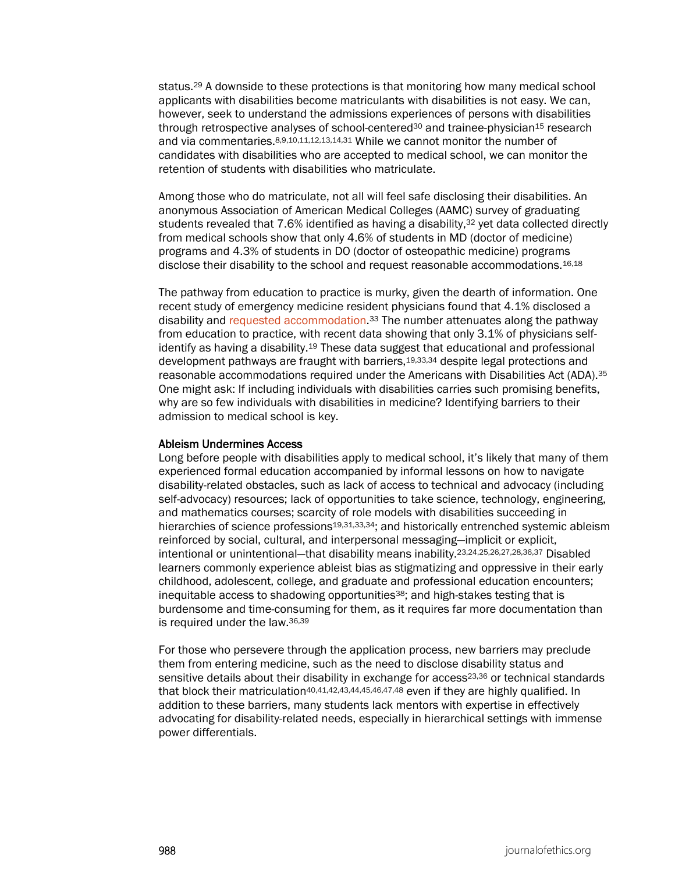status.29 A downside to these protections is that monitoring how many medical school applicants with disabilities become matriculants with disabilities is not easy. We can, however, seek to understand the admissions experiences of persons with disabilities through retrospective analyses of school-centered<sup>30</sup> and trainee-physician<sup>15</sup> research and via commentaries.8,9,10,11,12,13,14,31 While we cannot monitor the number of candidates with disabilities who are accepted to medical school, we can monitor the retention of students with disabilities who matriculate.

Among those who do matriculate, not all will feel safe disclosing their disabilities. An anonymous Association of American Medical Colleges (AAMC) survey of graduating students revealed that 7.6% identified as having a disability,<sup>32</sup> yet data collected directly from medical schools show that only 4.6% of students in MD (doctor of medicine) programs and 4.3% of students in DO (doctor of osteopathic medicine) programs disclose their disability to the school and request reasonable accommodations.<sup>16,18</sup>

The pathway from education to practice is murky, given the dearth of information. One recent study of emergency medicine resident physicians found that 4.1% disclosed a disability and [requested accommodation.](https://journalofethics.ama-assn.org/article/technical-standards-and-lawsuits-involving-accommodations-health-professions-students/2016-10)33 The number attenuates along the pathway from education to practice, with recent data showing that only 3.1% of physicians selfidentify as having a disability.<sup>19</sup> These data suggest that educational and professional development pathways are fraught with barriers,19,33,34 despite legal protections and reasonable accommodations required under the Americans with Disabilities Act (ADA).35 One might ask: If including individuals with disabilities carries such promising benefits, why are so few individuals with disabilities in medicine? Identifying barriers to their admission to medical school is key.

#### Ableism Undermines Access

Long before people with disabilities apply to medical school, it's likely that many of them experienced formal education accompanied by informal lessons on how to navigate disability-related obstacles, such as lack of access to technical and advocacy (including self-advocacy) resources; lack of opportunities to take science, technology, engineering, and mathematics courses; scarcity of role models with disabilities succeeding in hierarchies of science professions<sup>19,31,33,34</sup>; and historically entrenched systemic ableism reinforced by social, cultural, and interpersonal messaging—implicit or explicit, intentional or unintentional—that disability means inability.23,24,25,26,27,28,36,37 Disabled learners commonly experience ableist bias as stigmatizing and oppressive in their early childhood, adolescent, college, and graduate and professional education encounters; inequitable access to shadowing opportunities<sup>38</sup>; and high-stakes testing that is burdensome and time-consuming for them, as it requires far more documentation than is required under the law.36,39

For those who persevere through the application process, new barriers may preclude them from entering medicine, such as the need to disclose disability status and sensitive details about their disability in exchange for access<sup>23,36</sup> or technical standards that block their matriculation<sup>40,41,42,43,44,45,46,47,48</sup> even if they are highly qualified. In addition to these barriers, many students lack mentors with expertise in effectively advocating for disability-related needs, especially in hierarchical settings with immense power differentials.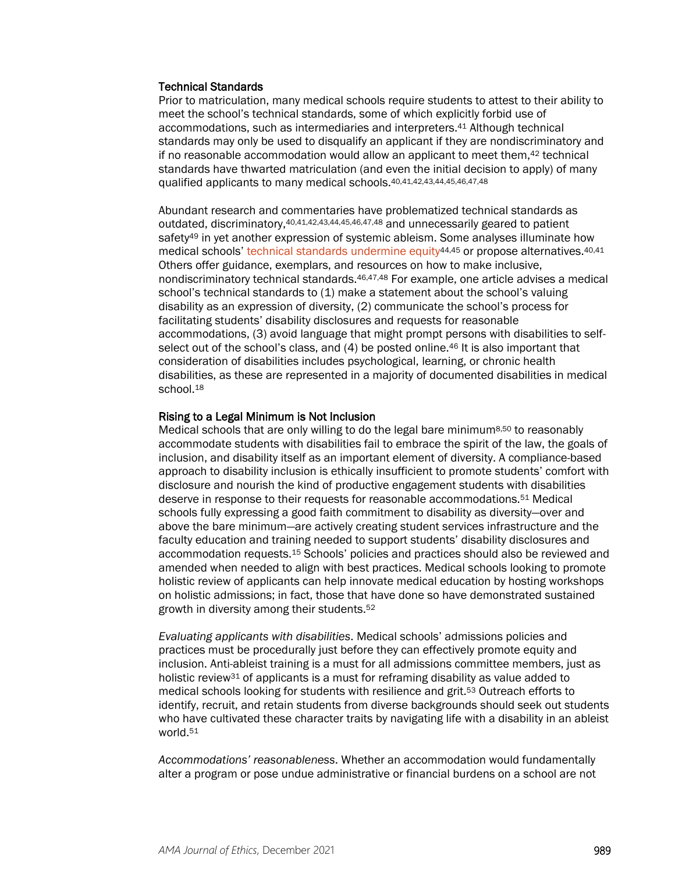#### Technical Standards

Prior to matriculation, many medical schools require students to attest to their ability to meet the school's technical standards, some of which explicitly forbid use of accommodations, such as intermediaries and interpreters.41 Although technical standards may only be used to disqualify an applicant if they are nondiscriminatory and if no reasonable accommodation would allow an applicant to meet them, $42$  technical standards have thwarted matriculation (and even the initial decision to apply) of many qualified applicants to many medical schools.40,41,42,43,44,45,46,47,48

Abundant research and commentaries have problematized technical standards as outdated, discriminatory,40,41,42,43,44,45,46,47,48 and unnecessarily geared to patient safety49 in yet another expression of systemic ableism. Some analyses illuminate how medical schools' technical standards undermine equity<sup>44,45</sup> or propose alternatives.<sup>40,41</sup> Others offer guidance, exemplars, and resources on how to make inclusive, nondiscriminatory technical standards.46,47,48 For example, one article advises a medical school's technical standards to (1) make a statement about the school's valuing disability as an expression of diversity, (2) communicate the school's process for facilitating students' disability disclosures and requests for reasonable accommodations, (3) avoid language that might prompt persons with disabilities to selfselect out of the school's class, and (4) be posted online.<sup>46</sup> It is also important that consideration of disabilities includes psychological, learning, or chronic health disabilities, as these are represented in a majority of documented disabilities in medical school.<sup>18</sup>

#### Rising to a Legal Minimum is Not Inclusion

Medical schools that are only willing to do the legal bare minimum8,50 to reasonably accommodate students with disabilities fail to embrace the spirit of the law, the goals of inclusion, and disability itself as an important element of diversity. A compliance-based approach to disability inclusion is ethically insufficient to promote students' comfort with disclosure and nourish the kind of productive engagement students with disabilities deserve in response to their requests for reasonable accommodations.51 Medical schools fully expressing a good faith commitment to disability as diversity—over and above the bare minimum—are actively creating student services infrastructure and the faculty education and training needed to support students' disability disclosures and accommodation requests.15 Schools' policies and practices should also be reviewed and amended when needed to align with best practices. Medical schools looking to promote holistic review of applicants can help innovate medical education by hosting workshops on holistic admissions; in fact, those that have done so have demonstrated sustained growth in diversity among their students.52

*Evaluating applicants with disabilities*. Medical schools' admissions policies and practices must be procedurally just before they can effectively promote equity and inclusion. Anti-ableist training is a must for all admissions committee members, just as holistic review31 of applicants is a must for reframing disability as value added to medical schools looking for students with resilience and grit.53 Outreach efforts to identify, recruit, and retain students from diverse backgrounds should seek out students who have cultivated these character traits by navigating life with a disability in an ableist world.51

*Accommodations' reasonableness*. Whether an accommodation would fundamentally alter a program or pose undue administrative or financial burdens on a school are not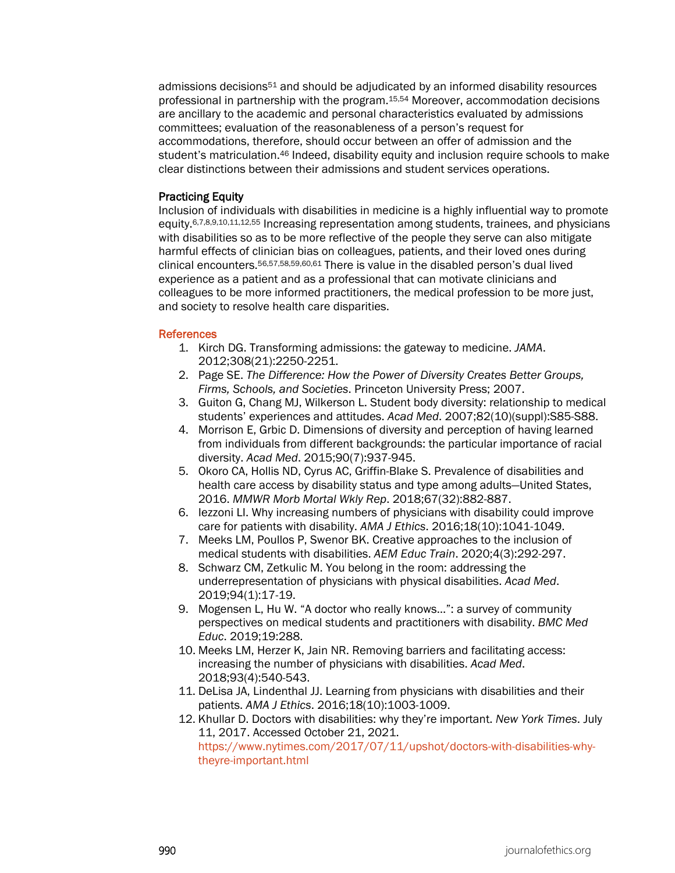admissions decisions51 and should be adjudicated by an informed disability resources professional in partnership with the program.15,54 Moreover, accommodation decisions are ancillary to the academic and personal characteristics evaluated by admissions committees; evaluation of the reasonableness of a person's request for accommodations, therefore, should occur between an offer of admission and the student's matriculation.46 Indeed, disability equity and inclusion require schools to make clear distinctions between their admissions and student services operations.

#### Practicing Equity

Inclusion of individuals with disabilities in medicine is a highly influential way to promote equity.6,7,8,9,10,11,12,55 Increasing representation among students, trainees, and physicians with disabilities so as to be more reflective of the people they serve can also mitigate harmful effects of clinician bias on colleagues, patients, and their loved ones during clinical encounters.56,57,58,59,60,61 There is value in the disabled person's dual lived experience as a patient and as a professional that can motivate clinicians and colleagues to be more informed practitioners, the medical profession to be more just, and society to resolve health care disparities.

#### References

- 1. Kirch DG. Transforming admissions: the gateway to medicine. *JAMA*. 2012;308(21):2250-2251.
- 2. Page SE. *The Difference: How the Power of Diversity Creates Better Groups, Firms, Schools, and Societies*. Princeton University Press; 2007.
- 3. Guiton G, Chang MJ, Wilkerson L. Student body diversity: relationship to medical students' experiences and attitudes. *Acad Med*. 2007;82(10)(suppl):S85-S88.
- 4. Morrison E, Grbic D. Dimensions of diversity and perception of having learned from individuals from different backgrounds: the particular importance of racial diversity. *Acad Med*. 2015;90(7):937-945.
- 5. Okoro CA, Hollis ND, Cyrus AC, Griffin-Blake S. Prevalence of disabilities and health care access by disability status and type among adults—United States, 2016. *MMWR Morb Mortal Wkly Rep*. 2018;67(32):882-887.
- 6. Iezzoni LI. Why increasing numbers of physicians with disability could improve care for patients with disability. *AMA J Ethics*. 2016;18(10):1041-1049.
- 7. Meeks LM, Poullos P, Swenor BK. Creative approaches to the inclusion of medical students with disabilities. *AEM Educ Train*. 2020;4(3):292-297.
- 8. Schwarz CM, Zetkulic M. You belong in the room: addressing the underrepresentation of physicians with physical disabilities. *Acad Med*. 2019;94(1):17-19.
- 9. Mogensen L, Hu W. "A doctor who really knows…": a survey of community perspectives on medical students and practitioners with disability. *BMC Med Educ*. 2019;19:288.
- 10. Meeks LM, Herzer K, Jain NR. Removing barriers and facilitating access: increasing the number of physicians with disabilities. *Acad Med*. 2018;93(4):540-543.
- 11. DeLisa JA, Lindenthal JJ. Learning from physicians with disabilities and their patients. *AMA J Ethics*. 2016;18(10):1003-1009.
- 12. Khullar D. Doctors with disabilities: why they're important. *New York Times*. July 11, 2017. Accessed October 21, 2021.

[https://www.nytimes.com/2017/07/11/upshot/doctors-with-disabilities-why](https://www.nytimes.com/2017/07/11/upshot/doctors-with-disabilities-why-theyre-important.html)[theyre-important.html](https://www.nytimes.com/2017/07/11/upshot/doctors-with-disabilities-why-theyre-important.html)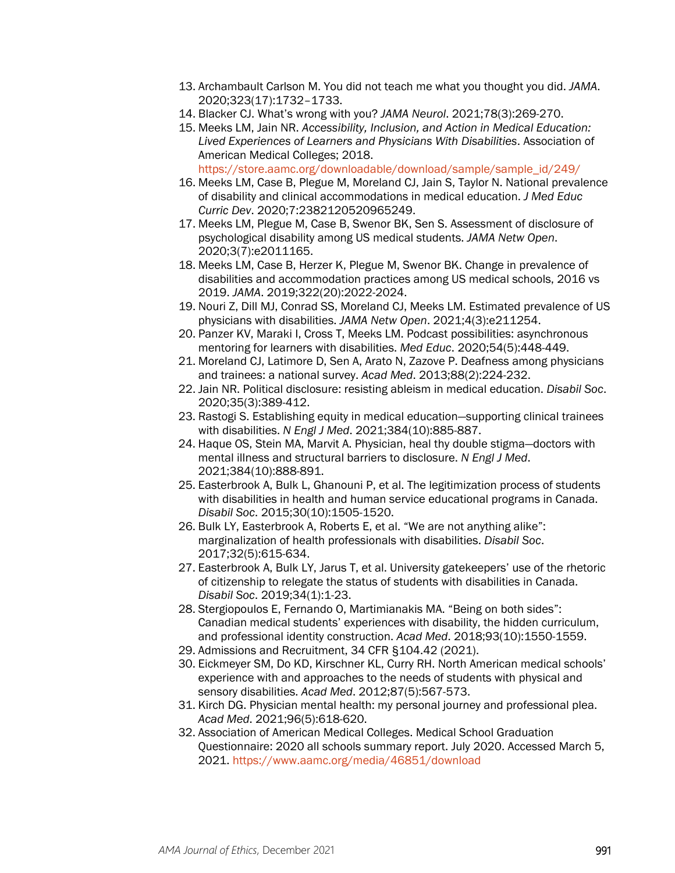- 13. Archambault Carlson M. You did not teach me what you thought you did. *JAMA*. 2020;323(17):1732–1733.
- 14. Blacker CJ. What's wrong with you? *JAMA Neurol*. 2021;78(3):269-270.
- 15. Meeks LM, Jain NR. *Accessibility, Inclusion, and Action in Medical Education: Lived Experiences of Learners and Physicians With Disabilities*. Association of American Medical Colleges; 2018. [https://store.aamc.org/downloadable/download/sample/sample\\_id/249/](https://store.aamc.org/downloadable/download/sample/sample_id/249/)
- 16. Meeks LM, Case B, Plegue M, Moreland CJ, Jain S, Taylor N. National prevalence of disability and clinical accommodations in medical education. *J Med Educ Curric Dev*. 2020;7:2382120520965249.
- 17. Meeks LM, Plegue M, Case B, Swenor BK, Sen S. Assessment of disclosure of psychological disability among US medical students. *JAMA Netw Open*. 2020;3(7):e2011165.
- 18. Meeks LM, Case B, Herzer K, Plegue M, Swenor BK. Change in prevalence of disabilities and accommodation practices among US medical schools, 2016 vs 2019. *JAMA*. 2019;322(20):2022-2024.
- 19. Nouri Z, Dill MJ, Conrad SS, Moreland CJ, Meeks LM. Estimated prevalence of US physicians with disabilities. *JAMA Netw Open*. 2021;4(3):e211254.
- 20. Panzer KV, Maraki I, Cross T, Meeks LM. Podcast possibilities: asynchronous mentoring for learners with disabilities. *Med Educ*. 2020;54(5):448-449.
- 21. Moreland CJ, Latimore D, Sen A, Arato N, Zazove P. Deafness among physicians and trainees: a national survey. *Acad Med*. 2013;88(2):224-232.
- 22. Jain NR. Political disclosure: resisting ableism in medical education. *Disabil Soc*. 2020;35(3):389-412.
- 23. Rastogi S. Establishing equity in medical education—supporting clinical trainees with disabilities. *N Engl J Med*. 2021;384(10):885-887.
- 24. Haque OS, Stein MA, Marvit A. Physician, heal thy double stigma—doctors with mental illness and structural barriers to disclosure. *N Engl J Med*. 2021;384(10):888-891.
- 25. Easterbrook A, Bulk L, Ghanouni P, et al. The legitimization process of students with disabilities in health and human service educational programs in Canada. *Disabil Soc*. 2015;30(10):1505-1520.
- 26. Bulk LY, Easterbrook A, Roberts E, et al. "We are not anything alike": marginalization of health professionals with disabilities. *Disabil Soc*. 2017;32(5):615-634.
- 27. Easterbrook A, Bulk LY, Jarus T, et al. University gatekeepers' use of the rhetoric of citizenship to relegate the status of students with disabilities in Canada. *Disabil Soc*. 2019;34(1):1-23.
- 28. Stergiopoulos E, Fernando O, Martimianakis MA. "Being on both sides": Canadian medical students' experiences with disability, the hidden curriculum, and professional identity construction. *Acad Med*. 2018;93(10):1550-1559.
- 29. Admissions and Recruitment, 34 CFR §104.42 (2021).
- 30. Eickmeyer SM, Do KD, Kirschner KL, Curry RH. North American medical schools' experience with and approaches to the needs of students with physical and sensory disabilities. *Acad Med*. 2012;87(5):567-573.
- 31. Kirch DG. Physician mental health: my personal journey and professional plea. *Acad Med*. 2021;96(5):618-620.
- 32. Association of American Medical Colleges. Medical School Graduation Questionnaire: 2020 all schools summary report. July 2020. Accessed March 5, 2021.<https://www.aamc.org/media/46851/download>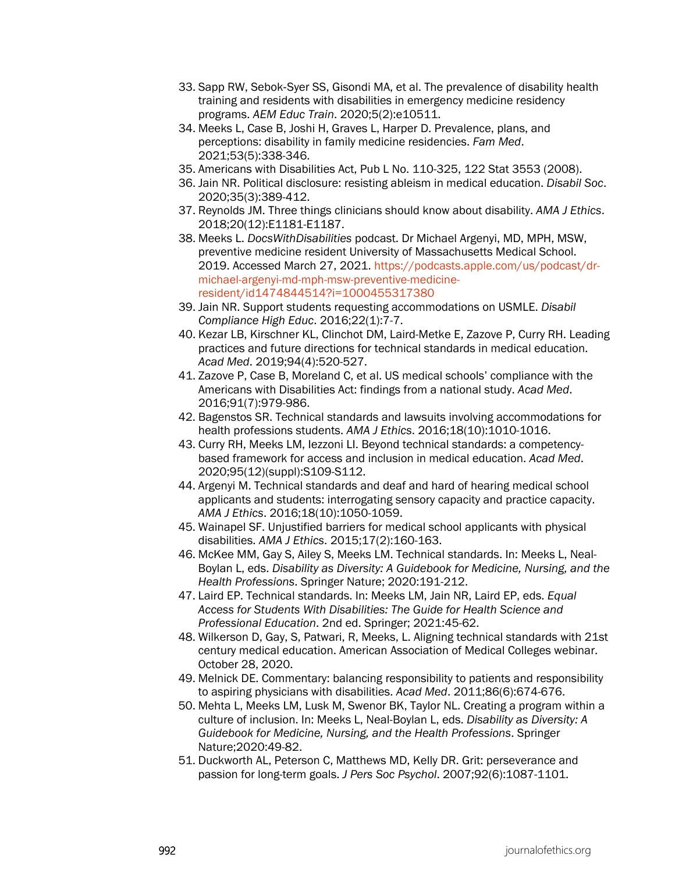- 33. Sapp RW, Sebok‐Syer SS, Gisondi MA, et al. The prevalence of disability health training and residents with disabilities in emergency medicine residency programs. *AEM Educ Train*. 2020;5(2):e10511.
- 34. Meeks L, Case B, Joshi H, Graves L, Harper D. Prevalence, plans, and perceptions: disability in family medicine residencies. *Fam Med*. 2021;53(5):338-346.
- 35. Americans with Disabilities Act, Pub L No. 110-325, 122 Stat 3553 (2008).
- 36. Jain NR. Political disclosure: resisting ableism in medical education. *Disabil Soc*. 2020;35(3):389-412.
- 37. Reynolds JM. Three things clinicians should know about disability. *AMA J Ethics*. 2018;20(12):E1181-E1187.
- 38. Meeks L. *DocsWithDisabilities* podcast. Dr Michael Argenyi, MD, MPH, MSW, preventive medicine resident University of Massachusetts Medical School. 2019. Accessed March 27, 2021. [https://podcasts.apple.com/us/podcast/dr](https://podcasts.apple.com/us/podcast/dr-michael-argenyi-md-mph-msw-preventive-medicine-resident/id1474844514?i=1000455317380)[michael-argenyi-md-mph-msw-preventive-medicine](https://podcasts.apple.com/us/podcast/dr-michael-argenyi-md-mph-msw-preventive-medicine-resident/id1474844514?i=1000455317380)[resident/id1474844514?i=1000455317380](https://podcasts.apple.com/us/podcast/dr-michael-argenyi-md-mph-msw-preventive-medicine-resident/id1474844514?i=1000455317380)
- 39. Jain NR. Support students requesting accommodations on USMLE. *Disabil Compliance High Educ*. 2016;22(1):7-7.
- 40. Kezar LB, Kirschner KL, Clinchot DM, Laird-Metke E, Zazove P, Curry RH. Leading practices and future directions for technical standards in medical education. *Acad Med*. 2019;94(4):520-527.
- 41. Zazove P, Case B, Moreland C, et al. US medical schools' compliance with the Americans with Disabilities Act: findings from a national study. *Acad Med*. 2016;91(7):979-986.
- 42. Bagenstos SR. Technical standards and lawsuits involving accommodations for health professions students. *AMA J Ethics*. 2016;18(10):1010-1016.
- 43. Curry RH, Meeks LM, Iezzoni LI. Beyond technical standards: a competencybased framework for access and inclusion in medical education. *Acad Med*. 2020;95(12)(suppl):S109-S112.
- 44. Argenyi M. Technical standards and deaf and hard of hearing medical school applicants and students: interrogating sensory capacity and practice capacity. *AMA J Ethics*. 2016;18(10):1050-1059.
- 45. Wainapel SF. Unjustified barriers for medical school applicants with physical disabilities. *AMA J Ethics*. 2015;17(2):160-163.
- 46. McKee MM, Gay S, Ailey S, Meeks LM. Technical standards. In: Meeks L, Neal-Boylan L, eds. *Disability as Diversity: A Guidebook for Medicine, Nursing, and the Health Professions*. Springer Nature; 2020:191-212.
- 47. Laird EP. Technical standards. In: Meeks LM, Jain NR, Laird EP, eds. *Equal Access for Students With Disabilities: The Guide for Health Science and Professional Education*. 2nd ed. Springer; 2021:45-62.
- 48. Wilkerson D, Gay, S, Patwari, R, Meeks, L. Aligning technical standards with 21st century medical education. American Association of Medical Colleges webinar. October 28, 2020.
- 49. Melnick DE. Commentary: balancing responsibility to patients and responsibility to aspiring physicians with disabilities. *Acad Med*. 2011;86(6):674-676.
- 50. Mehta L, Meeks LM, Lusk M, Swenor BK, Taylor NL. Creating a program within a culture of inclusion. In: Meeks L, Neal-Boylan L, eds. *Disability as Diversity: A Guidebook for Medicine, Nursing, and the Health Professions*. Springer Nature;2020:49-82.
- 51. Duckworth AL, Peterson C, Matthews MD, Kelly DR. Grit: perseverance and passion for long-term goals. *J Pers Soc Psychol*. 2007;92(6):1087-1101.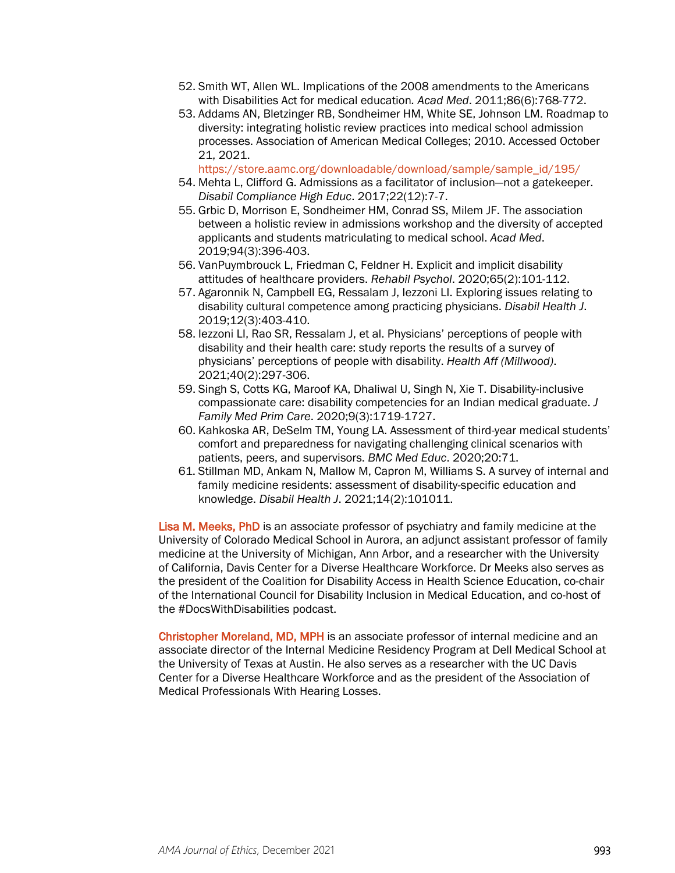- 52. Smith WT, Allen WL. Implications of the 2008 amendments to the Americans with Disabilities Act for medical education*. Acad Med*. 2011;86(6):768-772.
- 53. Addams AN, Bletzinger RB, Sondheimer HM, White SE, Johnson LM. Roadmap to diversity: integrating holistic review practices into medical school admission processes. Association of American Medical Colleges; 2010. Accessed October 21, 2021.

[https://store.aamc.org/downloadable/download/sample/sample\\_id/195/](https://store.aamc.org/downloadable/download/sample/sample_id/195/)

- 54. Mehta L, Clifford G. Admissions as a facilitator of inclusion—not a gatekeeper. *Disabil Compliance High Educ*. 2017;22(12):7-7.
- 55. Grbic D, Morrison E, Sondheimer HM, Conrad SS, Milem JF. The association between a holistic review in admissions workshop and the diversity of accepted applicants and students matriculating to medical school. *Acad Med*. 2019;94(3):396-403.
- 56. VanPuymbrouck L, Friedman C, Feldner H. Explicit and implicit disability attitudes of healthcare providers. *Rehabil Psychol*. 2020;65(2):101-112.
- 57. Agaronnik N, Campbell EG, Ressalam J, Iezzoni LI. Exploring issues relating to disability cultural competence among practicing physicians. *Disabil Health J*. 2019;12(3):403-410.
- 58. Iezzoni LI, Rao SR, Ressalam J, et al. Physicians' perceptions of people with disability and their health care: study reports the results of a survey of physicians' perceptions of people with disability. *Health Aff (Millwood)*. 2021;40(2):297-306.
- 59. Singh S, Cotts KG, Maroof KA, Dhaliwal U, Singh N, Xie T. Disability-inclusive compassionate care: disability competencies for an Indian medical graduate. *J Family Med Prim Care*. 2020;9(3):1719-1727.
- 60. Kahkoska AR, DeSelm TM, Young LA. Assessment of third-year medical students' comfort and preparedness for navigating challenging clinical scenarios with patients, peers, and supervisors. *BMC Med Educ*. 2020;20:71.
- 61. Stillman MD, Ankam N, Mallow M, Capron M, Williams S. A survey of internal and family medicine residents: assessment of disability-specific education and knowledge. *Disabil Health J*. 2021;14(2):101011.

Lisa M. Meeks, PhD is an associate professor of psychiatry and family medicine at the University of Colorado Medical School in Aurora, an adjunct assistant professor of family medicine at the University of Michigan, Ann Arbor, and a researcher with the University of California, Davis Center for a Diverse Healthcare Workforce. Dr Meeks also serves as the president of the Coalition for Disability Access in Health Science Education, co-chair of the International Council for Disability Inclusion in Medical Education, and co-host of the #DocsWithDisabilities podcast.

Christopher Moreland, MD, MPH is an associate professor of internal medicine and an associate director of the Internal Medicine Residency Program at Dell Medical School at the University of Texas at Austin. He also serves as a researcher with the UC Davis Center for a Diverse Healthcare Workforce and as the president of the Association of Medical Professionals With Hearing Losses.